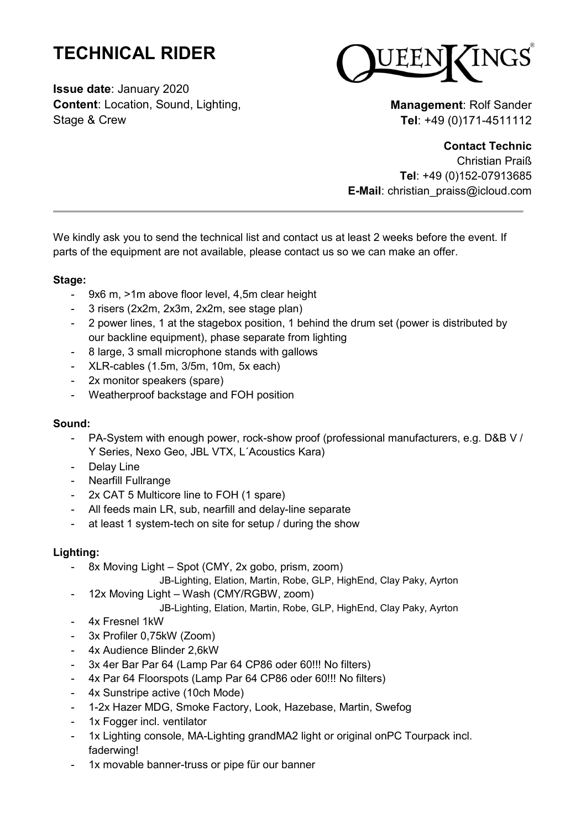# **TECHNICAL RIDER**

**Issue date**: January 2020 **Content**: Location, Sound, Lighting, Stage & Crew



**Management**: Rolf Sander **Tel**: +49 (0)171-4511112

## **Contact Technic**

Christian Praiß **Tel**: +49 (0)152-07913685 **E-Mail**: christian\_praiss@icloud.com

We kindly ask you to send the technical list and contact us at least 2 weeks before the event. If parts of the equipment are not available, please contact us so we can make an offer.

## **Stage:**

- 9x6 m, >1m above floor level, 4,5m clear height
- 3 risers (2x2m, 2x3m, 2x2m, see stage plan)
- 2 power lines, 1 at the stagebox position, 1 behind the drum set (power is distributed by our backline equipment), phase separate from lighting
- 8 large, 3 small microphone stands with gallows
- XLR-cables (1.5m, 3/5m, 10m, 5x each)
- 2x monitor speakers (spare)
- Weatherproof backstage and FOH position

#### **Sound:**

- PA-System with enough power, rock-show proof (professional manufacturers, e.g. D&B V / Y Series, Nexo Geo, JBL VTX, L´Acoustics Kara)
- Delay Line
- Nearfill Fullrange
- 2x CAT 5 Multicore line to FOH (1 spare)
- All feeds main LR, sub, nearfill and delay-line separate
- at least 1 system-tech on site for setup / during the show

#### **Lighting:**

- 8x Moving Light – Spot (CMY, 2x gobo, prism, zoom)

JB-Lighting, Elation, Martin, Robe, GLP, HighEnd, Clay Paky, Ayrton

- 12x Moving Light Wash (CMY/RGBW, zoom)
	- JB-Lighting, Elation, Martin, Robe, GLP, HighEnd, Clay Paky, Ayrton
- 4x Fresnel 1kW
- 3x Profiler 0.75kW (Zoom)
- 4x Audience Blinder 2,6kW
- 3x 4er Bar Par 64 (Lamp Par 64 CP86 oder 60!!! No filters)
- 4x Par 64 Floorspots (Lamp Par 64 CP86 oder 60!!! No filters)
- 4x Sunstripe active (10ch Mode)
- 1-2x Hazer MDG, Smoke Factory, Look, Hazebase, Martin, Swefog
- 1x Fogger incl. ventilator
- 1x Lighting console, MA-Lighting grandMA2 light or original onPC Tourpack incl. faderwing!
- 1x movable banner-truss or pipe für our banner